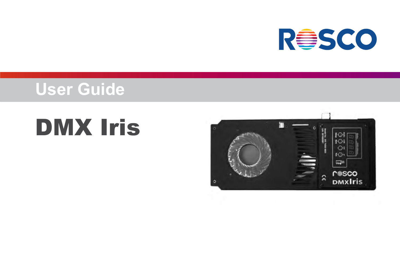

## **User Guide**

# DMX Iris

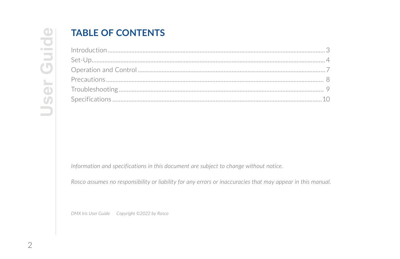### **TABLE OF CONTENTS**

Information and specifications in this document are subject to change without notice.

Rosco assumes no responsibility or liability for any errors or inaccuracies that may appear in this manual.

DMX Iris User Guide Copyright ©2022 by Rosco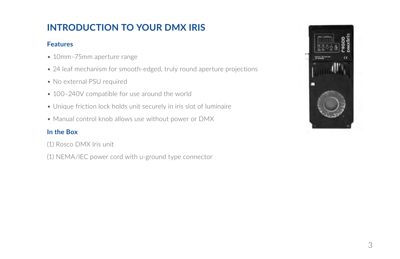### **INTRODUCTION TO YOUR DMX IRIS**

### **Features**

- 10mm–75mm aperture range
- 24 leaf mechanism for smooth-edged, truly round aperture projections
- No external PSU required
- 100–240V compatible for use around the world
- Unique friction lock holds unit securely in iris slot of luminaire
- Manual control knob allows use without power or DMX

### **In the Box**

- (1) Rosco DMX Iris unit
- (1) NEMA/IEC power cord with u-ground type connector

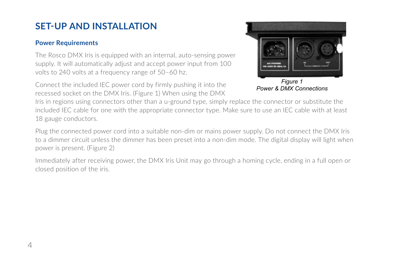### **SET-UP AND INSTALLATION**

#### **Power Requirements**

The Rosco DMX Iris is equipped with an internal, auto-sensing power supply. It will automatically adjust and accept power input from 100 volts to 240 volts at a frequency range of 50–60 hz.

Connect the included IEC power cord by firmly pushing it into the recessed socket on the DMX Iris. (Figure 1) When using the DMX



*Power & DMX Connections*

Iris in regions using connectors other than a u-ground type, simply replace the connector or substitute the included IEC cable for one with the appropriate connector type. Make sure to use an IEC cable with at least 18 gauge conductors.

Plug the connected power cord into a suitable non-dim or mains power supply. Do not connect the DMX Iris to a dimmer circuit unless the dimmer has been preset into a non-dim mode. The digital display will light when power is present. (Figure 2)

Immediately after receiving power, the DMX Iris Unit may go through a homing cycle, ending in a full open or closed position of the iris.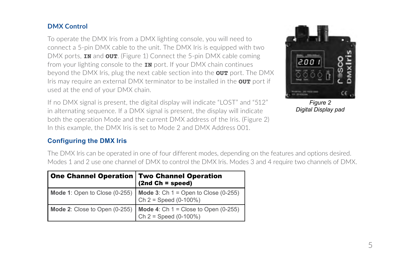#### **DMX Control**

To operate the DMX Iris from a DMX lighting console, you will need to connect a 5-pin DMX cable to the unit. The DMX Iris is equipped with two DMX ports, **IN** and **OUT**. (Figure 1) Connect the 5-pin DMX cable coming from your lighting console to the **IN** port. If your DMX chain continues beyond the DMX Iris, plug the next cable section into the **OUT** port. The DMX Iris may require an external DMX terminator to be installed in the **OUT** port if used at the end of your DMX chain.

If no DMX signal is present, the digital display will indicate "LOST" and "512" in alternating sequence. If a DMX signal is present, the display will indicate both the operation Mode and the current DMX address of the Iris. (Figure 2) In this example, the DMX Iris is set to Mode 2 and DMX Address 001.



*Figure 2 Digital Display pad*

### **Configuring the DMX Iris**

The DMX Iris can be operated in one of four different modes, depending on the features and options desired. Modes 1 and 2 use one channel of DMX to control the DMX Iris. Modes 3 and 4 require two channels of DMX.

| One Channel Operation   Two Channel Operation | $(2nd Ch = speed)$                                                                                |
|-----------------------------------------------|---------------------------------------------------------------------------------------------------|
|                                               | Mode 1: Open to Close (0-255)   Mode 3: Ch $1 =$ Open to Close (0-255)<br>Ch $2 =$ Speed (0-100%) |
|                                               | Mode 2: Close to Open (0-255)   Mode 4: Ch $1 =$ Close to Open (0-255)<br>$Ch 2 = Speed (0-100%)$ |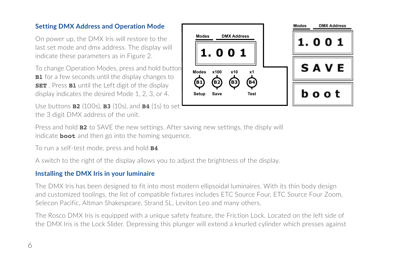#### **Setting DMX Address and Operation Mode**

On power up, the DMX Iris will restore to the last set mode and dmx address. The display will indicate these parameters as in Figure 2.

To change Operation Modes, press and hold button **B1** for a few seconds until the display changes to **SET** . Press **B1** until the Left digit of the display display indicates the desired Mode 1, 2, 3, or 4.

Use buttons **B2** (100s), **B3** (10s), and **B4** (1s) to set the 3 digit DMX address of the unit.



Press and hold **B2** to SAVE the new settings. After saving new settings, the disply will indicate **boot** and then go into the homing sequence.

To run a self-test mode, press and hold **B4**

A switch to the right of the display allows you to adjust the brightness of the display.

#### **Installing the DMX Iris in your luminaire**

The DMX Iris has been designed to fit into most modern ellipsoidal luminaires. With its thin body design and customized toolings, the list of compatible fixtures includes ETC Source Four, ETC Source Four Zoom, Selecon Pacific, Altman Shakespeare, Strand SL, Leviton Leo and many others.

The Rosco DMX Iris is equipped with a unique safety feature, the Friction Lock. Located on the left side of the DMX Iris is the Lock Slider. Depressing this plunger will extend a knurled cylinder which presses against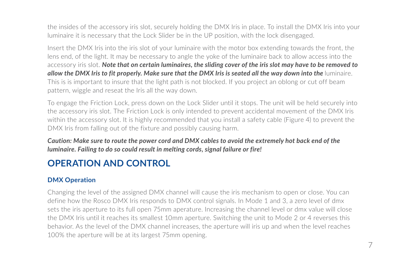the insides of the accessory iris slot, securely holding the DMX Iris in place. To install the DMX Iris into your luminaire it is necessary that the Lock Slider be in the UP position, with the lock disengaged.

Insert the DMX Iris into the iris slot of your luminaire with the motor box extending towards the front, the lens end, of the light. It may be necessary to angle the yoke of the luminaire back to allow access into the accessory iris slot. *Note that on certain luminaires, the sliding cover of the iris slot may have to be removed to allow the DMX Iris to fit properly. Make sure that the DMX Iris is seated all the way down into the luminaire.* This is is important to insure that the light path is not blocked. If you project an oblong or cut off beam pattern, wiggle and reseat the Iris all the way down.

To engage the Friction Lock, press down on the Lock Slider until it stops. The unit will be held securely into the accessory iris slot. The Friction Lock is only intended to prevent accidental movement of the DMX Iris within the accessory slot. It is highly recommended that you install a safety cable (Figure 4) to prevent the DMX Iris from falling out of the fixture and possibly causing harm.

*Caution: Make sure to route the power cord and DMX cables to avoid the extremely hot back end of the luminaire. Failing to do so could result in melting cords, signal failure or fire!* 

### **OPERATION AND CONTROL**

### **DMX Operation**

Changing the level of the assigned DMX channel will cause the iris mechanism to open or close. You can define how the Rosco DMX Iris responds to DMX control signals. In Mode 1 and 3, a zero level of dmx sets the iris aperture to its full open 75mm aperature. Increasing the channel level or dmx value will close the DMX Iris until it reaches its smallest 10mm aperture. Switching the unit to Mode 2 or 4 reverses this behavior. As the level of the DMX channel increases, the aperture will iris up and when the level reaches 100% the aperture will be at its largest 75mm opening.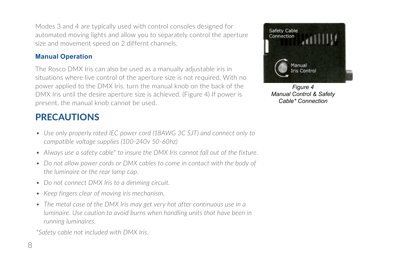Modes 3 and 4 are typically used with control consoles designed for automated moving lights and allow you to separately control the aperture size and movement speed on 2 differnt channels.

### **Manual Operation**

The Rosco DMX Iris can also be used as a manually adjustable iris in situations where live control of the aperture size is not required. With no power applied to the DMX Iris, turn the manual knob on the back of the DMX Iris until the desire aperture size is achieved. (Figure 4) If power is present, the manual knob cannot be used.

### **PRECAUTIONS**

- *• Use only properly rated IEC power cord (18AWG 3C SJT) and connect only to compatible voltage supplies (100-240v 50-60hz)*
- *• Always use a safety cable\* to insure the DMX Iris cannot fall out of the fixture.*
- Do not allow power cords or DMX cables to come in contact with the body of *the luminaire or the rear lamp cap.*
- *• Do not connect DMX Iris to a dimming circuit.*
- *• Keep fingers clear of moving iris mechanism.*
- *• The metal case of the DMX Iris may get very hot after continuous use in a luminaire. Use caution to avoid burns when handling units that have been in running luminaires.*

*\*Safety cable not included with DMX Iris.*



*Figure 4 Manual Control & Safety Cable\* Connection*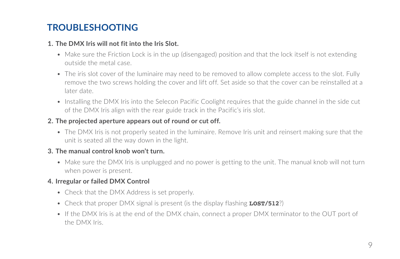### **TROUBLESHOOTING**

#### **1. The DMX Iris will not fit into the Iris Slot.**

- Make sure the Friction Lock is in the up (disengaged) position and that the lock itself is not extending outside the metal case.
- The iris slot cover of the luminaire may need to be removed to allow complete access to the slot. Fully remove the two screws holding the cover and lift off. Set aside so that the cover can be reinstalled at a later date.
- Installing the DMX Iris into the Selecon Pacific Coolight requires that the guide channel in the side cut of the DMX Iris align with the rear guide track in the Pacific's iris slot.

### **2. The projected aperture appears out of round or cut off.**

• The DMX Iris is not properly seated in the luminaire. Remove Iris unit and reinsert making sure that the unit is seated all the way down in the light.

### **3. The manual control knob won't turn.**

• Make sure the DMX Iris is unplugged and no power is getting to the unit. The manual knob will not turn when power is present.

### **4. Irregular or failed DMX Control**

- Check that the DMX Address is set properly.
- Check that proper DMX signal is present (is the display flashing **LOST/512**?)
- If the DMX Iris is at the end of the DMX chain, connect a proper DMX terminator to the OUT port of the DMX Iris.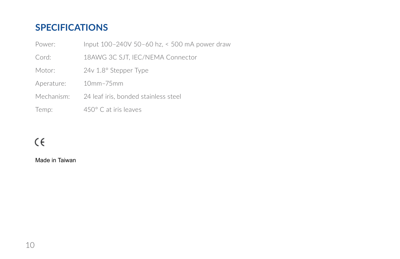### **SPECIFICATIONS**

| Power:     | Input 100-240V 50-60 hz, < 500 mA power draw |  |
|------------|----------------------------------------------|--|
| Cord:      | 18AWG 3C SJT, IEC/NEMA Connector             |  |
| Motor:     | $24v$ 1.8 $\degree$ Stepper Type             |  |
| Aperature: | $10mm-75mm$                                  |  |
| Mechanism: | 24 leaf iris, bonded stainless steel         |  |
| Temp:      | $450^{\circ}$ C at iris leaves               |  |

### $\zeta\in$

Made in Taiwan